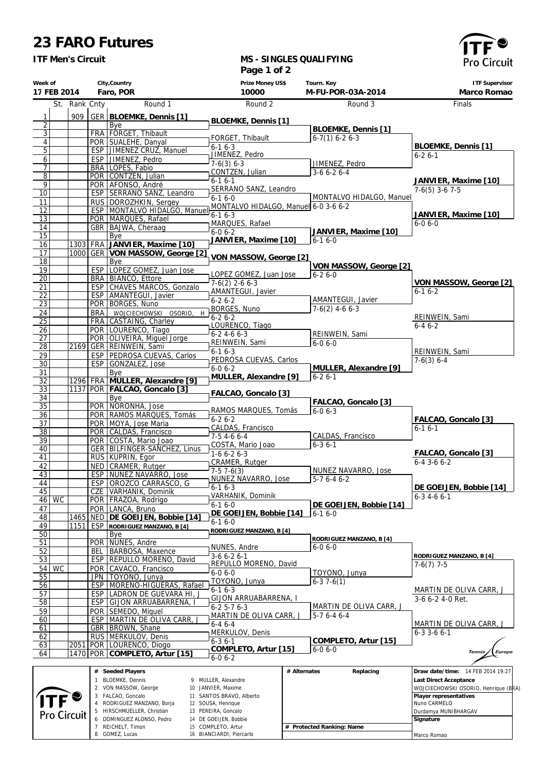## **23 FARO Futures**

 RODRIGUEZ MANZANO, Borja HIRSCHMUELLER, Christian DOMINGUEZ ALONSO, Pedro REICHELT, Timon GOMEZ, Lucas

 SOUSA, Henrique PEREIRA, Goncalo DE GOEIJEN, Bobbie COMPLETO, Artur BIANCIARDI, Piercarlo

**# Protected Ranking: Name**

Nuno CARMELO Durdamya MUNIBHARGAV

 **Signature** Marco Romao

*ITF Men's Circuit*

## **MS - SINGLES QUALIFYING Page 1 of 2**



|                                    |               |              |                                                       | raye i vi z                                    |              |                                     |                                        |
|------------------------------------|---------------|--------------|-------------------------------------------------------|------------------------------------------------|--------------|-------------------------------------|----------------------------------------|
| Week of<br>17 FEB 2014             |               |              | City, Country<br>Faro, POR                            | Prize Money US\$<br>10000                      |              | Tourn. Key<br>M-FU-POR-03A-2014     | <b>ITF Supervisor</b><br>Marco Romao   |
|                                    | St. Rank Cnty |              | Round 1                                               | Round 2                                        |              | Round 3                             |                                        |
|                                    |               |              |                                                       |                                                |              |                                     | Finals                                 |
| $\mathbf{1}$                       | 909           |              | GER BLOEMKE, Dennis [1]                               | BLOEMKE, Dennis [1]                            |              |                                     |                                        |
| $\overline{2}$<br>$\overline{3}$   |               |              | Bye<br>FRA   FORGET, Thibault                         |                                                |              | BLOEMKE, Dennis [1]                 |                                        |
| $\overline{4}$                     |               |              | POR SUALEHE, Danyal                                   | FORGET, Thibault                               |              | $6-7(1)$ 6-2 6-3                    |                                        |
| $\overline{5}$                     |               |              | ESP   JIMENEZ CRUZ, Manuel                            | $6 - 16 - 3$                                   |              |                                     | BLOEMKE, Dennis [1]                    |
| $\overline{6}$                     |               |              | ESP JIMENEZ, Pedro                                    | JIMENEZ, Pedro<br>$7-6(3) 6-3$                 |              | JIMENEZ, Pedro                      | $6 - 26 - 1$                           |
| 7                                  |               |              | BRA LOPES, Fabio                                      | CONTZEN, Julian                                |              | $3-66-26-4$                         |                                        |
| $\overline{8}$                     |               |              | POR CONTZEN, Julian                                   | $6 - 16 - 1$                                   |              |                                     | JANVIER, Maxime [10]                   |
| $\overline{9}$<br>$\overline{10}$  |               |              | POR AFONSO, André<br>ESP SERRANO SANZ, Leandro        | SERRANO SANZ, Leandro                          |              |                                     | $7-6(5)$ 3-6 7-5                       |
| 11                                 |               |              | RUS DOROZHKIN, Sergey                                 | $6-16-0$                                       |              | MONTALVO HIDALGO, Manuel            |                                        |
| 12                                 |               |              | ESP   MONTALVO HIDALGO, Manuel                        | MONTALVO HIDALGO, Manuel 6-0 3-6 6-2           |              |                                     |                                        |
| $\overline{13}$                    |               |              | POR   MARQUES, Rafael                                 | $6 - 16 - 3$                                   |              |                                     | JANVIER, Maxime [10]<br>$6 - 06 - 0$   |
| 14                                 |               |              | GBR   BAJWA, Cheraag                                  | MARQUES, Rafael<br>$6 - 06 - 2$                |              | JANVIER, Maxime [10]                |                                        |
| $\overline{15}$                    |               |              | Bye                                                   | JANVIER, Maxime [10]                           |              | $6-16-0$                            |                                        |
| 16                                 | 1303<br>1000  | <b>FRA</b>   | JANVIER, Maxime [10]<br>GER VON MASSOW, George [2]    |                                                |              |                                     |                                        |
| 17<br>18                           |               |              | Bye                                                   | VON MASSOW, George [2]                         |              |                                     |                                        |
| 19                                 |               |              | ESP LOPEZ GOMEZ, Juan Jose                            |                                                |              | VON MASSOW, George [2]              |                                        |
| $\overline{20}$                    |               |              | BRA BIANCO, Ettore                                    | LOPEZ GOMEZ, Juan Jose                         |              | $6 - 26 - 0$                        |                                        |
| 21                                 |               |              | <b>ESP CHAVES MARCOS, Gonzalo</b>                     | $7-6(2)$ 2-6 6-3<br>AMANTEGUI, Javier          |              |                                     | VON MASSOW, George [2]<br>$6 - 16 - 2$ |
| $\overline{22}$                    |               |              | ESP   AMANTEGUI, Javier                               | $6 - 26 - 2$                                   |              | AMANTEGUI, Javier                   |                                        |
| $\overline{23}$                    |               |              | POR BORGES, Nuno                                      | BORGES, Nuno                                   |              | $7-6(2)$ 4-6 6-3                    |                                        |
| 24<br>$\overline{25}$              |               | <b>BRA</b>   | WOJCIECHOWSKI OSORIO,<br>H<br>FRA CASTAING, Charley   | $6 - 26 - 2$                                   |              |                                     | REINWEIN, Sami                         |
| 26                                 |               |              | POR LOURENCO, Tiago                                   | LOURENCO, Tiago                                |              |                                     | $6-46-2$                               |
| 27                                 |               |              | POR OLIVEIRA, Miguel Jorge                            | $6-2$ 4-6 6-3                                  |              | REINWEIN, Sami                      |                                        |
| $\overline{28}$                    |               |              | 2169 GER REINWEIN, Sami                               | REINWEIN, Sami                                 |              | $6 - 0 6 - 0$                       |                                        |
| 29                                 |               |              | ESP PEDROSA CUEVAS, Carlos                            | $6 - 16 - 3$<br>PEDROSA CUEVAS, Carlos         |              |                                     | REINWEIN, Sami<br>$7-6(3)$ 6-4         |
| $\overline{30}$                    |               |              | ESP GONZALEZ, Jose                                    | $6 - 06 - 2$                                   |              | MULLER, Alexandre [9]               |                                        |
| 31                                 |               |              | Bye<br>1296 FRA MULLER, Alexandre [9]                 | MULLER, Alexandre [9]                          |              | $6 - 26 - 1$                        |                                        |
| $\overline{32}$<br>$\overline{33}$ |               |              | 1137 POR FALCAO, Goncalo [3]                          |                                                |              |                                     |                                        |
| 34                                 |               |              | Bye                                                   | FALCAO, Goncalo [3]                            |              |                                     |                                        |
| $\overline{35}$                    |               |              | POR NORONHA, Jose                                     |                                                |              | FALCAO, Goncalo [3]<br>$6 - 06 - 3$ |                                        |
| $\overline{36}$                    |               |              | POR RAMOS MARQUES, Tomás                              | RAMOS MARQUES, Tomás<br>$6 - 26 - 2$           |              |                                     | FALCAO, Goncalo [3]                    |
| $\overline{37}$                    |               |              | POR MOYA, Jose Maria                                  | CALDAS, Francisco                              |              |                                     | $6-16-1$                               |
| $\overline{38}$<br>39              |               |              | POR CALDAS, Francisco                                 | $7-54-66-4$                                    |              | CALDAS, Francisco                   |                                        |
| 40                                 |               |              | POR COSTA, Mario Joao<br>GER BILFINGER-SANCHEZ, Linus | COSTA, Mario Joao                              |              | $6 - 36 - 1$                        |                                        |
| 41                                 |               |              | RUS KUPRIN, Egor                                      | $1-66-26-3$                                    |              |                                     | FALCAO, Goncalo [3]                    |
| 42                                 |               |              | NED   CRAMER, Rutger                                  | CRAMER, Rutger                                 |              |                                     | $6 - 4$ 3 - 6 $6 - 2$                  |
| 43                                 |               |              | ESP NUNEZ NAVARRO, Jose                               | $7-57-6(3)$<br>NUNEZ NAVARRO, Jose             |              | NUNEZ NAVARRO, Jose<br>$5-76-46-2$  |                                        |
| 44                                 |               |              | ESP OROZCO CARRASCO, G                                | $6 - 16 - 3$                                   |              |                                     | DE GOEIJEN, Bobbie [14]                |
| 45<br>46 WC                        |               |              | <b>CZE</b> VARHANIK, Dominik                          | VARHANIK, Dominik                              |              |                                     | $6 - 3$ 4 - 6 6 - 1                    |
| 47                                 |               |              | POR   FRAZOA, Rodrigo<br>POR LANCA, Bruno             | $6 - 16 - 0$                                   |              | DE GOEIJEN, Bobbie [14]             |                                        |
| 48                                 |               |              | 1465 NED DE GOEIJEN, Bobbie [14]                      | DE GOEIJEN, Bobbie [14]                        |              | $6 - 16 - 0$                        |                                        |
| 49                                 | 1151          | ESP          | RODRIGUEZ MANZANO, B [4]                              | $6 - 16 - 0$                                   |              |                                     |                                        |
| $\overline{50}$                    |               |              | Bye                                                   | RODRIGUEZ MANZANO, B [4]                       |              | RODRIGUEZ MANZANO, B [4]            |                                        |
| 51                                 |               |              | POR NUNES, Andre                                      | NUNES, Andre                                   |              | $6-06-0$                            |                                        |
| 52                                 |               | BEL          | BARBOSA, Maxence                                      | $3-66-26-1$                                    |              |                                     | RODRIGUEZ MANZANO, B [4]               |
| 53<br>54<br><b>WC</b>              |               |              | ESP REPULLO MORENO, David<br>POR CAVACO, Francisco    | REPULLO MORENO, David                          |              |                                     | $7-6(7)$ 7-5                           |
| 55                                 |               |              | JPN   TOYONO, Junya                                   | $6 - 06 - 0$                                   |              | TOYONO, Junya                       |                                        |
| 56                                 |               |              | ESP   MORENO-HIGUERAS, Rafael                         | TOYONO, Junya                                  |              | $6-37-6(1)$                         |                                        |
| 57                                 |               |              | ESP LADRON DE GUEVARA HI, J                           | $6 - 16 - 3$                                   |              |                                     | MARTIN DE OLIVA CARR, J                |
| $\overline{58}$                    |               |              | ESP GIJON ARRUABARRENA,                               | GIJON ARRUABARRENA, I<br>$6 - 25 - 76 - 3$     |              | MARTIN DE OLIVA CARR, J             | 3-6 6-2 4-0 Ret.                       |
| 59                                 |               |              | POR SEMEDO, Miguel                                    | MARTIN DE OLIVA CARR, J                        |              | $5-76-46-4$                         |                                        |
| 60                                 |               |              | ESP MARTIN DE OLIVA CARR, J                           | $6 - 46 - 4$                                   |              |                                     | MARTIN DE OLIVA CARR, .                |
| 61                                 |               |              | GBR   BROWN, Shane                                    | MERKULOV, Denis                                |              |                                     | $6 - 3$ 3 $-6$ 6 $-1$                  |
| 62<br>63                           | 2051          |              | RUS   MERKULOV, Denis<br>POR LOURENCO, Diogo          | $6 - 36 - 1$                                   |              | COMPLETO, Artur [15]                |                                        |
| 64                                 | 1470          |              | POR COMPLETO, Artur [15]                              | COMPLETO, Artur [15]                           |              | $6 - 06 - 0$                        | Europe<br><b>Tennis</b>                |
|                                    |               |              |                                                       | $6 - 06 - 2$                                   |              |                                     |                                        |
|                                    |               |              | # Seeded Players                                      |                                                | # Alternates | Replacing                           | Draw date/time:<br>14 FEB 2014 19:27   |
|                                    |               | $\mathbf{1}$ | BLOEMKE, Dennis                                       | 9 MULLER, Alexandre                            |              |                                     | Last Direct Acceptance                 |
|                                    |               |              | 2 VON MASSOW, George                                  | 10 JANVIER, Maxime                             |              |                                     | WOJCIECHOWSKI OSORIO, Henrique (BRA)   |
|                                    |               |              | 3 FALCAO, Goncalo<br>4 RODRIGUEZ MANZANO, Borja       | 11 SANTOS BRAVO, Alberto<br>12 SOUSA, Henrique |              |                                     | Player representatives<br>Nuno CARMELO |
|                                    |               |              |                                                       |                                                |              |                                     |                                        |